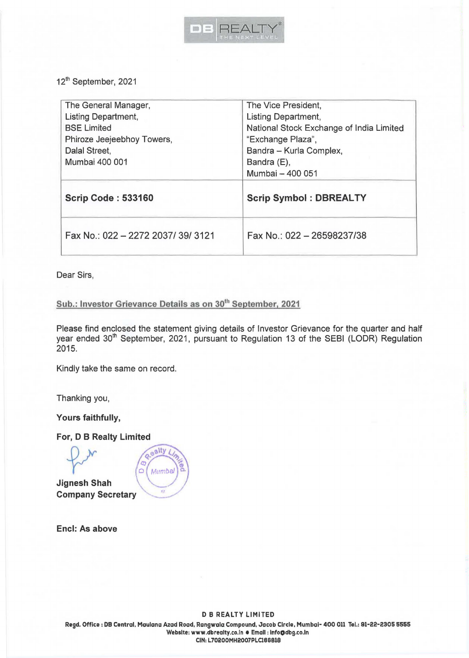

12<sup>th</sup> September, 2021

| The General Manager,             | The Vice President,                      |  |
|----------------------------------|------------------------------------------|--|
| <b>Listing Department,</b>       | <b>Listing Department,</b>               |  |
| <b>BSE Limited</b>               | National Stock Exchange of India Limited |  |
| Phiroze Jeejeebhoy Towers,       | "Exchange Plaza",                        |  |
| Dalal Street,                    | Bandra - Kurla Complex,                  |  |
| Mumbai 400 001                   | Bandra (E),                              |  |
|                                  | Mumbai - 400 051                         |  |
| <b>Scrip Code: 533160</b>        | <b>Scrip Symbol: DBREALTY</b>            |  |
| Fax No.: 022 - 2272 2037/39/3121 | Fax No.: 022 - 26598237/38               |  |

Dear Sirs,

## Sub.: Investor Grievance Details as on 30<sup>th</sup> September, 2021

Please find enclosed the statement giving details of Investor Grievance for the quarter and half year ended 30<sup>th</sup> September, 2021, pursuant to Regulation 13 of the SEBI (LODR) Regulation 2015.

Kindly take the same on record.

Thanking you,

**Yours faithfully,** 

For, D B Realty Limited

**Jignesh Shah Company Secretary** 



**Encl: As above** 

**Regd.** Office: DB Central, Maulana Azad Road, Rangwala Compound, Jacob Circle, Mumbai- 400 011 Tel.: 91-22-2305 5555 Website: www.dbrealty.co.ln • Email: lnfoOdbg.co.ln CIN: L70200MH2007PLC86818

DB REALTY LIMITED